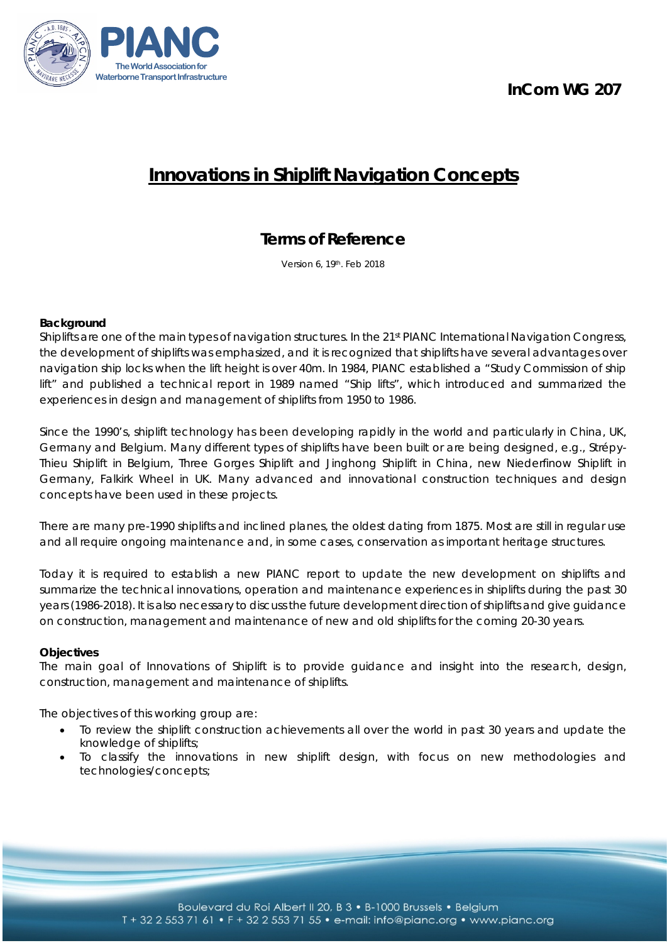**InCom WG 207**



# **Innovations in Shiplift Navigation Concepts**

# **Terms of Reference**

Version 6, 19th. Feb 2018

# **Background**

Shiplifts are one of the main types of navigation structures. In the 21st PIANC International Navigation Congress, the development of shiplifts was emphasized, and it is recognized that shiplifts have several advantages over navigation ship locks when the lift height is over 40m. In 1984, PIANC established a "Study Commission of ship lift" and published a technical report in 1989 named "Ship lifts", which introduced and summarized the experiences in design and management of shiplifts from 1950 to 1986.

Since the 1990's, shiplift technology has been developing rapidly in the world and particularly in China, UK, Germany and Belgium. Many different types of shiplifts have been built or are being designed, e.g., Strépy-Thieu Shiplift in Belgium, Three Gorges Shiplift and Jinghong Shiplift in China, new Niederfinow Shiplift in Germany, Falkirk Wheel in UK. Many advanced and innovational construction techniques and design concepts have been used in these projects.

There are many pre-1990 shiplifts and inclined planes, the oldest dating from 1875. Most are still in regular use and all require ongoing maintenance and, in some cases, conservation as important heritage structures.

Today it is required to establish a new PIANC report to update the new development on shiplifts and summarize the technical innovations, operation and maintenance experiences in shiplifts during the past 30 years (1986-2018). It is also necessary to discuss the future development direction of shiplifts and give guidance on construction, management and maintenance of new and old shiplifts for the coming 20-30 years.

## **Objectives**

The main goal of Innovations of Shiplift is to provide guidance and insight into the research, design, construction, management and maintenance of shiplifts.

The objectives of this working group are:

- To review the shiplift construction achievements all over the world in past 30 years and update the knowledge of shiplifts;
- To classify the innovations in new shiplift design, with focus on new methodologies and technologies/concepts;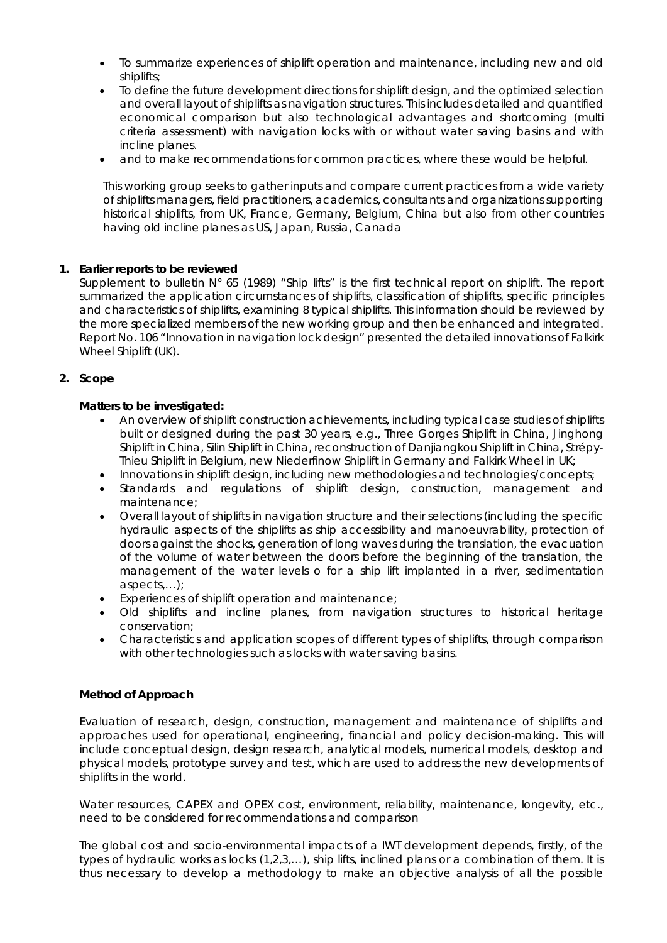- To summarize experiences of shiplift operation and maintenance, including new and old shiplifts;
- To define the future development directions for shiplift design, and the optimized selection and overall layout of shiplifts as navigation structures. This includes detailed and quantified economical comparison but also technological advantages and shortcoming (multi criteria assessment) with navigation locks with or without water saving basins and with incline planes.
- and to make recommendations for common practices, where these would be helpful.

This working group seeks to gather inputs and compare current practices from a wide variety of shiplifts managers, field practitioners, academics, consultants and organizations supporting historical shiplifts, from UK, France, Germany, Belgium, China but also from other countries having old incline planes as US, Japan, Russia, Canada

## **1. Earlier reports to be reviewed**

Supplement to bulletin N° 65 (1989) "Ship lifts" is the first technical report on shiplift. The report summarized the application circumstances of shiplifts, classification of shiplifts, specific principles and characteristics of shiplifts, examining 8 typical shiplifts. This information should be reviewed by the more specialized members of the new working group and then be enhanced and integrated. Report No. 106 "Innovation in navigation lock design" presented the detailed innovations of Falkirk Wheel Shiplift (UK).

# **2. Scope**

## **Matters to be investigated:**

- An overview of shiplift construction achievements, including typical case studies of shiplifts built or designed during the past 30 years, e.g., Three Gorges Shiplift in China, Jinghong Shiplift in China, Silin Shiplift in China, reconstruction of Danjiangkou Shiplift in China, Strépy-Thieu Shiplift in Belgium, new Niederfinow Shiplift in Germany and Falkirk Wheel in UK;
- Innovations in shiplift design, including new methodologies and technologies/concepts;
- Standards and regulations of shiplift design, construction, management and maintenance;
- Overall layout of shiplifts in navigation structure and their selections (including the specific hydraulic aspects of the shiplifts as ship accessibility and manoeuvrability, protection of doors against the shocks, generation of long waves during the translation, the evacuation of the volume of water between the doors before the beginning of the translation, the management of the water levels o for a ship lift implanted in a river, sedimentation aspects,…);
- Experiences of shiplift operation and maintenance;
- Old shiplifts and incline planes, from navigation structures to historical heritage conservation;
- Characteristics and application scopes of different types of shiplifts, through comparison with other technologies such as locks with water saving basins.

## **Method of Approach**

Evaluation of research, design, construction, management and maintenance of shiplifts and approaches used for operational, engineering, financial and policy decision-making. This will include conceptual design, design research, analytical models, numerical models, desktop and physical models, prototype survey and test, which are used to address the new developments of shiplifts in the world.

Water resources, CAPEX and OPEX cost, environment, reliability, maintenance, longevity, etc., need to be considered for recommendations and comparison

The global cost and socio-environmental impacts of a IWT development depends, firstly, of the types of hydraulic works as locks (1,2,3,…), ship lifts, inclined plans or a combination of them. It is thus necessary to develop a methodology to make an objective analysis of all the possible